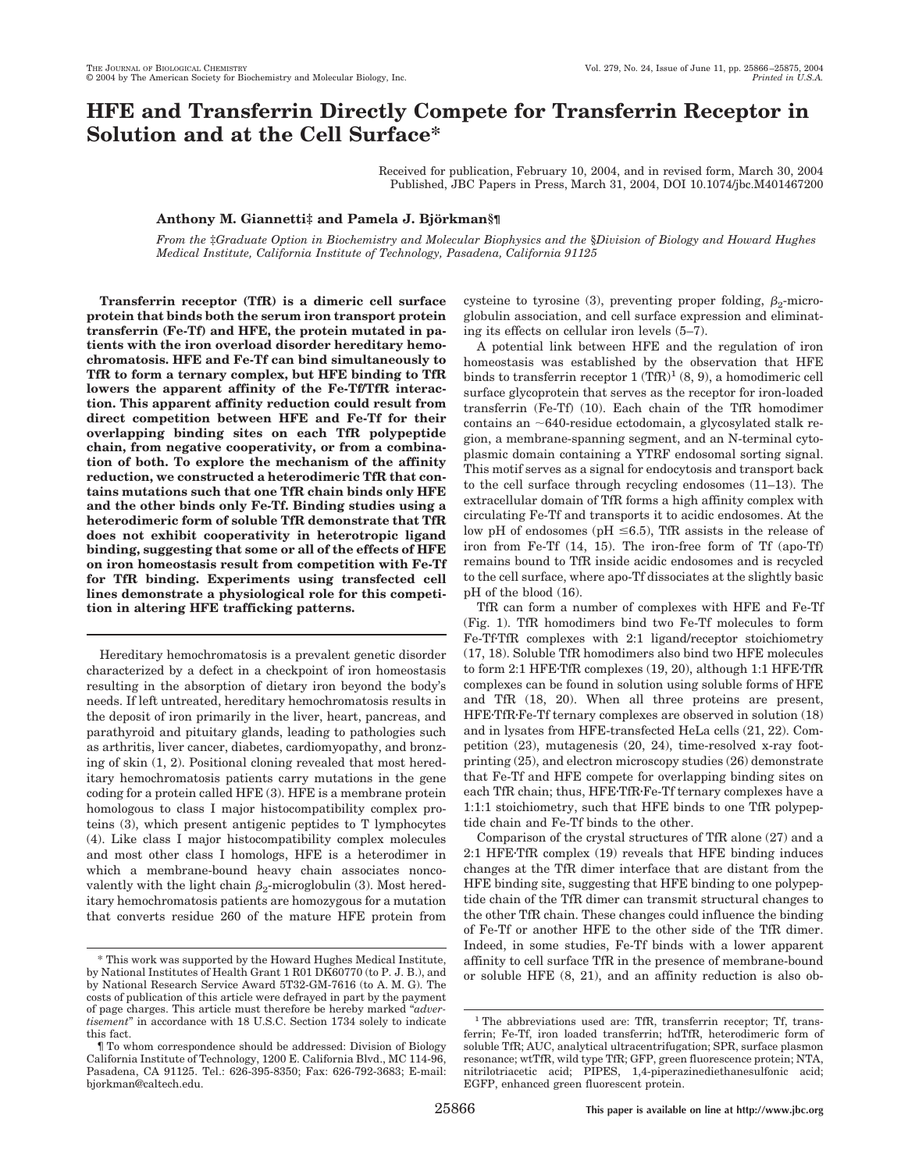# **HFE and Transferrin Directly Compete for Transferrin Receptor in Solution and at the Cell Surface\***

Received for publication, February 10, 2004, and in revised form, March 30, 2004 Published, JBC Papers in Press, March 31, 2004, DOI 10.1074/jbc.M401467200

# **Anthony M. Giannetti‡ and Pamela J. Bjo¨rkman§¶**

*From the* ‡*Graduate Option in Biochemistry and Molecular Biophysics and the* §*Division of Biology and Howard Hughes Medical Institute, California Institute of Technology, Pasadena, California 91125*

**Transferrin receptor (TfR) is a dimeric cell surface protein that binds both the serum iron transport protein transferrin (Fe-Tf) and HFE, the protein mutated in patients with the iron overload disorder hereditary hemochromatosis. HFE and Fe-Tf can bind simultaneously to TfR to form a ternary complex, but HFE binding to TfR lowers the apparent affinity of the Fe-Tf/TfR interaction. This apparent affinity reduction could result from direct competition between HFE and Fe-Tf for their overlapping binding sites on each TfR polypeptide chain, from negative cooperativity, or from a combination of both. To explore the mechanism of the affinity reduction, we constructed a heterodimeric TfR that contains mutations such that one TfR chain binds only HFE and the other binds only Fe-Tf. Binding studies using a heterodimeric form of soluble TfR demonstrate that TfR does not exhibit cooperativity in heterotropic ligand binding, suggesting that some or all of the effects of HFE on iron homeostasis result from competition with Fe-Tf for TfR binding. Experiments using transfected cell lines demonstrate a physiological role for this competition in altering HFE trafficking patterns.**

Hereditary hemochromatosis is a prevalent genetic disorder characterized by a defect in a checkpoint of iron homeostasis resulting in the absorption of dietary iron beyond the body's needs. If left untreated, hereditary hemochromatosis results in the deposit of iron primarily in the liver, heart, pancreas, and parathyroid and pituitary glands, leading to pathologies such as arthritis, liver cancer, diabetes, cardiomyopathy, and bronzing of skin (1, 2). Positional cloning revealed that most hereditary hemochromatosis patients carry mutations in the gene coding for a protein called HFE (3). HFE is a membrane protein homologous to class I major histocompatibility complex proteins (3), which present antigenic peptides to T lymphocytes (4). Like class I major histocompatibility complex molecules and most other class I homologs, HFE is a heterodimer in which a membrane-bound heavy chain associates noncovalently with the light chain  $\beta_2$ -microglobulin (3). Most hereditary hemochromatosis patients are homozygous for a mutation that converts residue 260 of the mature HFE protein from cysteine to tyrosine (3), preventing proper folding,  $\beta_2$ -microglobulin association, and cell surface expression and eliminating its effects on cellular iron levels (5–7).

A potential link between HFE and the regulation of iron homeostasis was established by the observation that HFE binds to transferrin receptor  $1 (TfR)^1 (8, 9)$ , a homodimeric cell surface glycoprotein that serves as the receptor for iron-loaded transferrin (Fe-Tf) (10). Each chain of the TfR homodimer contains an  $\sim$  640-residue ectodomain, a glycosylated stalk region, a membrane-spanning segment, and an N-terminal cytoplasmic domain containing a YTRF endosomal sorting signal. This motif serves as a signal for endocytosis and transport back to the cell surface through recycling endosomes (11–13). The extracellular domain of TfR forms a high affinity complex with circulating Fe-Tf and transports it to acidic endosomes. At the low pH of endosomes (pH  $\leq$ 6.5), TfR assists in the release of iron from Fe-Tf (14, 15). The iron-free form of Tf (apo-Tf) remains bound to TfR inside acidic endosomes and is recycled to the cell surface, where apo-Tf dissociates at the slightly basic pH of the blood (16).

TfR can form a number of complexes with HFE and Fe-Tf (Fig. 1). TfR homodimers bind two Fe-Tf molecules to form Fe-TfTfR complexes with 2:1 ligand/receptor stoichiometry (17, 18). Soluble TfR homodimers also bind two HFE molecules to form 2:1 HFE·TfR complexes (19, 20), although 1:1 HFE·TfR complexes can be found in solution using soluble forms of HFE and TfR (18, 20). When all three proteins are present, HFETfRFe-Tf ternary complexes are observed in solution (18) and in lysates from HFE-transfected HeLa cells (21, 22). Competition (23), mutagenesis (20, 24), time-resolved x-ray footprinting (25), and electron microscopy studies (26) demonstrate that Fe-Tf and HFE compete for overlapping binding sites on each TfR chain; thus, HFE TfR Fe-Tf ternary complexes have a 1:1:1 stoichiometry, such that HFE binds to one TfR polypeptide chain and Fe-Tf binds to the other.

Comparison of the crystal structures of TfR alone (27) and a 2:1 HFETfR complex (19) reveals that HFE binding induces changes at the TfR dimer interface that are distant from the HFE binding site, suggesting that HFE binding to one polypeptide chain of the TfR dimer can transmit structural changes to the other TfR chain. These changes could influence the binding of Fe-Tf or another HFE to the other side of the TfR dimer. Indeed, in some studies, Fe-Tf binds with a lower apparent affinity to cell surface TfR in the presence of membrane-bound or soluble HFE (8, 21), and an affinity reduction is also ob-

<sup>\*</sup> This work was supported by the Howard Hughes Medical Institute, by National Institutes of Health Grant 1 R01 DK60770 (to P. J. B.), and by National Research Service Award 5T32-GM-7616 (to A. M. G). The costs of publication of this article were defrayed in part by the payment of page charges. This article must therefore be hereby marked "*advertisement*" in accordance with 18 U.S.C. Section 1734 solely to indicate this fact.

<sup>¶</sup> To whom correspondence should be addressed: Division of Biology California Institute of Technology, 1200 E. California Blvd., MC 114-96, Pasadena, CA 91125. Tel.: 626-395-8350; Fax: 626-792-3683; E-mail: bjorkman@caltech.edu.

<sup>&</sup>lt;sup>1</sup> The abbreviations used are: TfR, transferrin receptor: Tf, transferrin; Fe-Tf, iron loaded transferrin; hdTfR, heterodimeric form of soluble TfR; AUC, analytical ultracentrifugation; SPR, surface plasmon resonance; wtTfR, wild type TfR; GFP, green fluorescence protein; NTA, nitrilotriacetic acid; PIPES, 1,4-piperazinediethanesulfonic acid; EGFP, enhanced green fluorescent protein.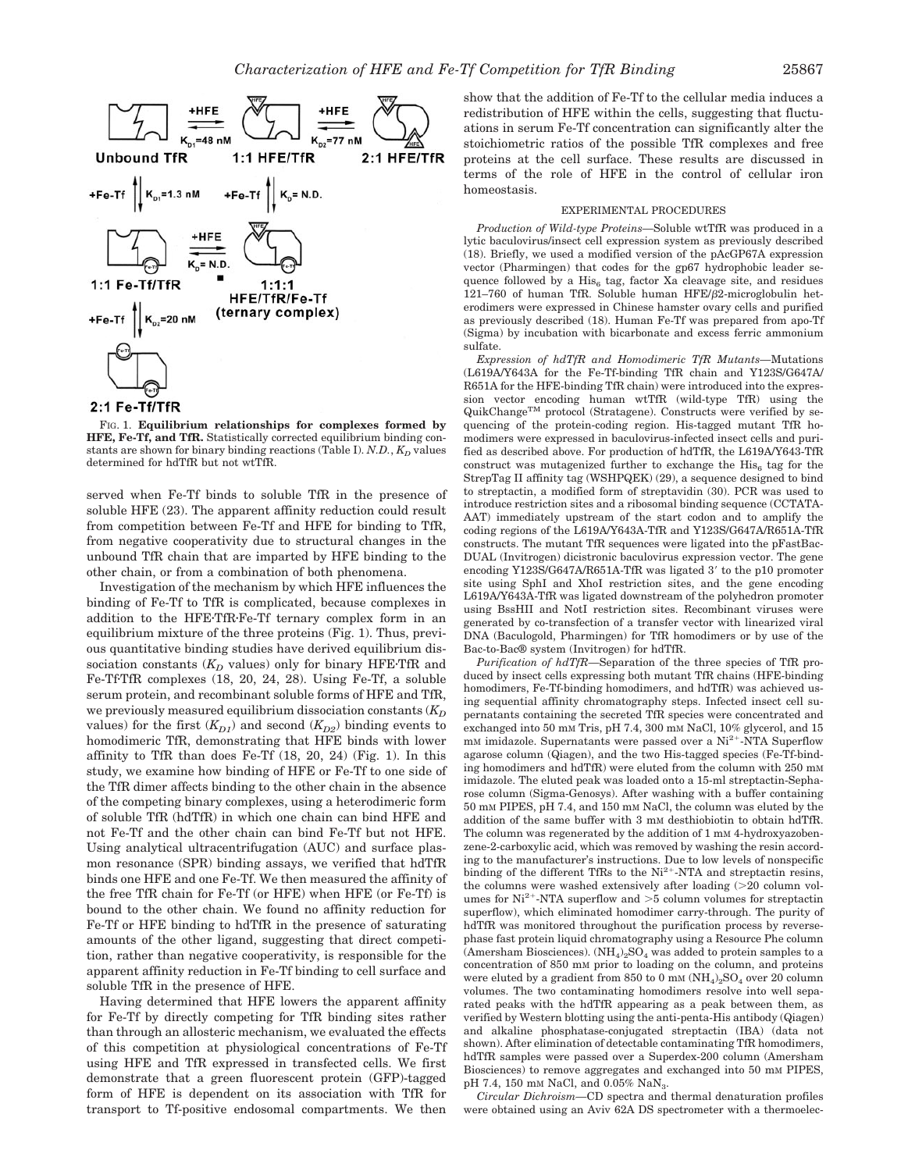

# 2:1 Fe-Tf/TfR

FIG. 1. **Equilibrium relationships for complexes formed by HFE, Fe-Tf, and TfR.** Statistically corrected equilibrium binding constants are shown for binary binding reactions (Table I).  $N.D., K_D$  values determined for hdTfR but not wtTfR.

served when Fe-Tf binds to soluble TfR in the presence of soluble HFE (23). The apparent affinity reduction could result from competition between Fe-Tf and HFE for binding to TfR, from negative cooperativity due to structural changes in the unbound TfR chain that are imparted by HFE binding to the other chain, or from a combination of both phenomena.

Investigation of the mechanism by which HFE influences the binding of Fe-Tf to TfR is complicated, because complexes in addition to the HFE·TfR·Fe-Tf ternary complex form in an equilibrium mixture of the three proteins (Fig. 1). Thus, previous quantitative binding studies have derived equilibrium dissociation constants  $(K_D)$  values) only for binary HFETfR and Fe-Tf·TfR complexes (18, 20, 24, 28). Using Fe-Tf, a soluble serum protein, and recombinant soluble forms of HFE and TfR, we previously measured equilibrium dissociation constants ( $K_D$ ) values) for the first  $(K_{D1})$  and second  $(K_{D2})$  binding events to homodimeric TfR, demonstrating that HFE binds with lower affinity to TfR than does Fe-Tf (18, 20, 24) (Fig. 1). In this study, we examine how binding of HFE or Fe-Tf to one side of the TfR dimer affects binding to the other chain in the absence of the competing binary complexes, using a heterodimeric form of soluble TfR (hdTfR) in which one chain can bind HFE and not Fe-Tf and the other chain can bind Fe-Tf but not HFE. Using analytical ultracentrifugation (AUC) and surface plasmon resonance (SPR) binding assays, we verified that hdTfR binds one HFE and one Fe-Tf. We then measured the affinity of the free TfR chain for Fe-Tf (or HFE) when HFE (or Fe-Tf) is bound to the other chain. We found no affinity reduction for Fe-Tf or HFE binding to hdTfR in the presence of saturating amounts of the other ligand, suggesting that direct competition, rather than negative cooperativity, is responsible for the apparent affinity reduction in Fe-Tf binding to cell surface and soluble TfR in the presence of HFE.

Having determined that HFE lowers the apparent affinity for Fe-Tf by directly competing for TfR binding sites rather than through an allosteric mechanism, we evaluated the effects of this competition at physiological concentrations of Fe-Tf using HFE and TfR expressed in transfected cells. We first demonstrate that a green fluorescent protein (GFP)-tagged form of HFE is dependent on its association with TfR for transport to Tf-positive endosomal compartments. We then

show that the addition of Fe-Tf to the cellular media induces a redistribution of HFE within the cells, suggesting that fluctuations in serum Fe-Tf concentration can significantly alter the stoichiometric ratios of the possible TfR complexes and free proteins at the cell surface. These results are discussed in terms of the role of HFE in the control of cellular iron homeostasis.

## EXPERIMENTAL PROCEDURES

*Production of Wild-type Proteins—*Soluble wtTfR was produced in a lytic baculovirus/insect cell expression system as previously described (18). Briefly, we used a modified version of the pAcGP67A expression vector (Pharmingen) that codes for the gp67 hydrophobic leader sequence followed by a His<sub>6</sub> tag, factor Xa cleavage site, and residues  $121-760$  of human TfR. Soluble human HFE/ $\beta$ 2-microglobulin heterodimers were expressed in Chinese hamster ovary cells and purified as previously described (18). Human Fe-Tf was prepared from apo-Tf (Sigma) by incubation with bicarbonate and excess ferric ammonium sulfate.

*Expression of hdTfR and Homodimeric TfR Mutants—*Mutations (L619A/Y643A for the Fe-Tf-binding TfR chain and Y123S/G647A/ R651A for the HFE-binding TfR chain) were introduced into the expression vector encoding human wtTfR (wild-type TfR) using the QuikChangeTM protocol (Stratagene). Constructs were verified by sequencing of the protein-coding region. His-tagged mutant TfR homodimers were expressed in baculovirus-infected insect cells and purified as described above. For production of hdTfR, the L619A/Y643-TfR construct was mutagenized further to exchange the  $His<sub>6</sub>$  tag for the StrepTag II affinity tag (WSHPQEK) (29), a sequence designed to bind to streptactin, a modified form of streptavidin (30). PCR was used to introduce restriction sites and a ribosomal binding sequence (CCTATA-AAT) immediately upstream of the start codon and to amplify the coding regions of the L619A/Y643A-TfR and Y123S/G647A/R651A-TfR constructs. The mutant TfR sequences were ligated into the pFastBac-DUAL (Invitrogen) dicistronic baculovirus expression vector. The gene encoding Y123S/G647A/R651A-TfR was ligated 3' to the p10 promoter site using SphI and XhoI restriction sites, and the gene encoding L619A/Y643A-TfR was ligated downstream of the polyhedron promoter using BssHII and NotI restriction sites. Recombinant viruses were generated by co-transfection of a transfer vector with linearized viral DNA (Baculogold, Pharmingen) for TfR homodimers or by use of the Bac-to-Bac® system (Invitrogen) for hdTfR.

*Purification of hdTfR—*Separation of the three species of TfR produced by insect cells expressing both mutant TfR chains (HFE-binding homodimers, Fe-Tf-binding homodimers, and hdTfR) was achieved using sequential affinity chromatography steps. Infected insect cell supernatants containing the secreted TfR species were concentrated and exchanged into 50 mM Tris, pH 7.4, 300 mM NaCl, 10% glycerol, and 15  $mm$  imidazole. Supernatants were passed over a Ni<sup>2+</sup>-NTA Superflow agarose column (Qiagen), and the two His-tagged species (Fe-Tf-binding homodimers and hdTfR) were eluted from the column with 250 mM imidazole. The eluted peak was loaded onto a 15-ml streptactin-Sepharose column (Sigma-Genosys). After washing with a buffer containing 50 mM PIPES, pH 7.4, and 150 mM NaCl, the column was eluted by the addition of the same buffer with 3 mM desthiobiotin to obtain hdTfR. The column was regenerated by the addition of 1 mm 4-hydroxyazobenzene-2-carboxylic acid, which was removed by washing the resin according to the manufacturer's instructions. Due to low levels of nonspecific binding of the different TfRs to the  $Ni^{2+}$ -NTA and streptactin resins, the columns were washed extensively after loading  $(>20$  column volumes for  $Ni^{2+}$ -NTA superflow and  $>5$  column volumes for streptactin superflow), which eliminated homodimer carry-through. The purity of hdTfR was monitored throughout the purification process by reversephase fast protein liquid chromatography using a Resource Phe column (Amersham Biosciences).  $(NH_4)_2SO_4$  was added to protein samples to a concentration of 850 mM prior to loading on the column, and proteins were eluted by a gradient from 850 to 0 mm  $(NH_4)_2SO_4$  over 20 column volumes. The two contaminating homodimers resolve into well separated peaks with the hdTfR appearing as a peak between them, as verified by Western blotting using the anti-penta-His antibody (Qiagen) and alkaline phosphatase-conjugated streptactin (IBA) (data not shown). After elimination of detectable contaminating TfR homodimers, hdTfR samples were passed over a Superdex-200 column (Amersham Biosciences) to remove aggregates and exchanged into 50 mM PIPES, pH 7.4, 150 mm NaCl, and 0.05% NaN<sub>3</sub>

*Circular Dichroism—*CD spectra and thermal denaturation profiles were obtained using an Aviv 62A DS spectrometer with a thermoelec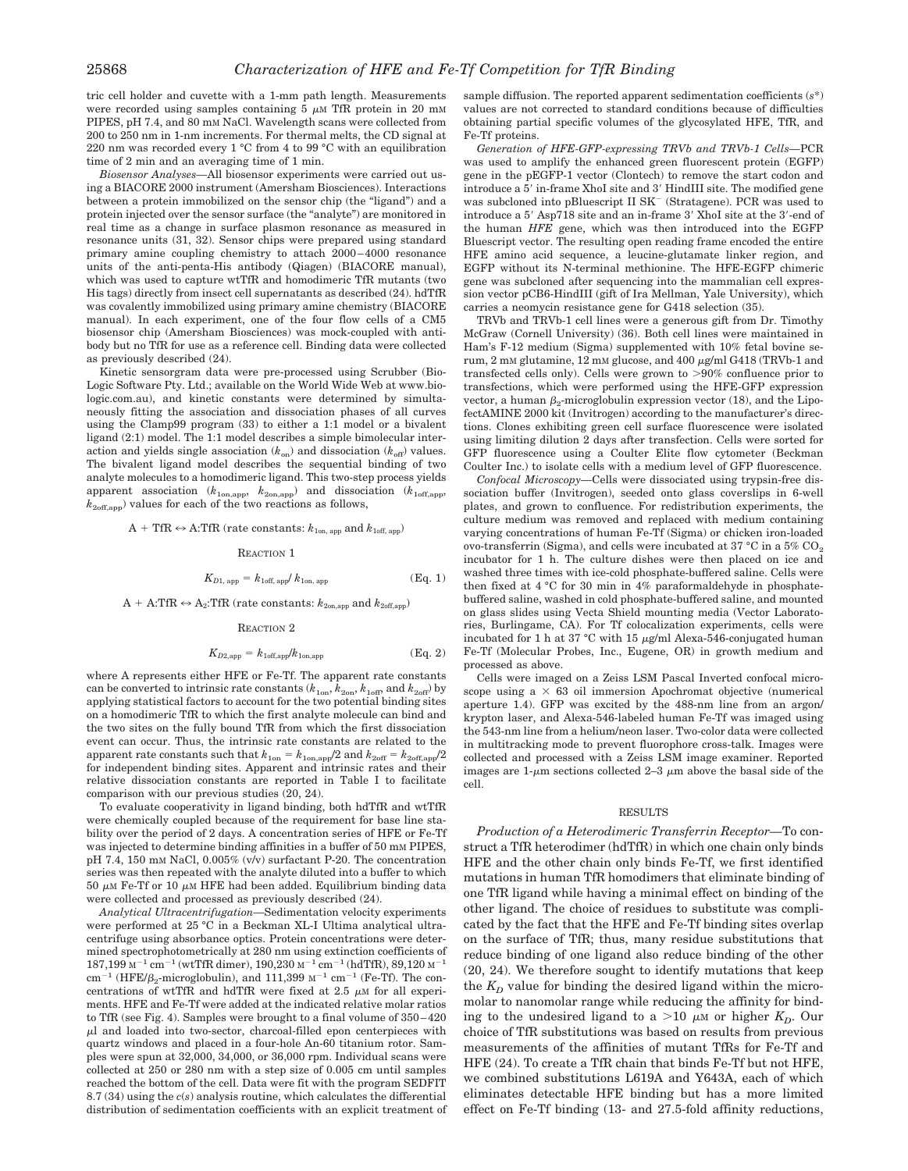tric cell holder and cuvette with a 1-mm path length. Measurements were recorded using samples containing 5  $\mu$ M TfR protein in 20 mM PIPES, pH 7.4, and 80 mM NaCl. Wavelength scans were collected from 200 to 250 nm in 1-nm increments. For thermal melts, the CD signal at 220 nm was recorded every 1 °C from 4 to 99 °C with an equilibration time of 2 min and an averaging time of 1 min.

*Biosensor Analyses—*All biosensor experiments were carried out using a BIACORE 2000 instrument (Amersham Biosciences). Interactions between a protein immobilized on the sensor chip (the "ligand") and a protein injected over the sensor surface (the "analyte") are monitored in real time as a change in surface plasmon resonance as measured in resonance units (31, 32). Sensor chips were prepared using standard primary amine coupling chemistry to attach 2000–4000 resonance units of the anti-penta-His antibody (Qiagen) (BIACORE manual), which was used to capture wtTfR and homodimeric TfR mutants (two His tags) directly from insect cell supernatants as described (24). hdTfR was covalently immobilized using primary amine chemistry (BIACORE manual). In each experiment, one of the four flow cells of a CM5 biosensor chip (Amersham Biosciences) was mock-coupled with antibody but no TfR for use as a reference cell. Binding data were collected as previously described (24).

Kinetic sensorgram data were pre-processed using Scrubber (Bio-Logic Software Pty. Ltd.; available on the World Wide Web at www.biologic.com.au), and kinetic constants were determined by simultaneously fitting the association and dissociation phases of all curves using the Clamp99 program (33) to either a 1:1 model or a bivalent ligand (2:1) model. The 1:1 model describes a simple bimolecular interaction and yields single association  $(k_{on})$  and dissociation  $(k_{off})$  values. The bivalent ligand model describes the sequential binding of two analyte molecules to a homodimeric ligand. This two-step process yields apparent association  $(k_{1on,\text{app}},\ k_{2on,\text{app}})$  and dissociation  $(k_{1off,\text{app}},$  $k_{2off,app}$ ) values for each of the two reactions as follows,

$$
A + TfR \leftrightarrow A: TfR
$$
 (rate constants:  $k_{1on, app}$  and  $k_{1off, app}$ )

#### REACTION 1

$$
K_{D1, \text{ app}} = k_{1\text{off, app}} / k_{1\text{on, app}} \tag{Eq. 1}
$$

 $A + A:$ TfR  $\leftrightarrow$  A<sub>2</sub>:TfR (rate constants:  $k_{2on,app}$  and  $k_{2off,app}$ )

## REACTION 2

$$
K_{D2,\text{app}} = k_{1\text{off},\text{app}} / k_{1\text{on},\text{app}} \tag{Eq. 2}
$$

where A represents either HFE or Fe-Tf. The apparent rate constants can be converted to intrinsic rate constants  $(k_{1on}, k_{2on}, k_{1off},$  and  $k_{2off}$ ) by applying statistical factors to account for the two potential binding sites on a homodimeric TfR to which the first analyte molecule can bind and the two sites on the fully bound TfR from which the first dissociation event can occur. Thus, the intrinsic rate constants are related to the apparent rate constants such that  $k_{1on} = k_{1on,app}/2$  and  $k_{2off} = k_{2off,app}/2$ for independent binding sites. Apparent and intrinsic rates and their relative dissociation constants are reported in Table I to facilitate comparison with our previous studies (20, 24).

To evaluate cooperativity in ligand binding, both hdTfR and wtTfR were chemically coupled because of the requirement for base line stability over the period of 2 days. A concentration series of HFE or Fe-Tf was injected to determine binding affinities in a buffer of 50 mM PIPES, pH 7.4, 150 mM NaCl, 0.005% (v/v) surfactant P-20. The concentration series was then repeated with the analyte diluted into a buffer to which 50  $\mu$ M Fe-Tf or 10  $\mu$ M HFE had been added. Equilibrium binding data were collected and processed as previously described (24).

*Analytical Ultracentrifugation—*Sedimentation velocity experiments were performed at 25 °C in a Beckman XL-I Ultima analytical ultracentrifuge using absorbance optics. Protein concentrations were determined spectrophotometrically at 280 nm using extinction coefficients of  $187,199$  M<sup>-1</sup> cm<sup>-1</sup> (wtTfR dimer),  $190,230$  M<sup>-1</sup> cm<sup>-1</sup> (hdTfR),  $89,120$  M<sup>-1</sup>  $cm^{-1}$  (HFE/ $\beta_0$ -microglobulin), and 111,399  $\text{M}^{-1}$  cm<sup>-1</sup> (Fe-Tf). The concentrations of wtTfR and hdTfR were fixed at 2.5  $\mu$ M for all experiments. HFE and Fe-Tf were added at the indicated relative molar ratios to TfR (see Fig. 4). Samples were brought to a final volume of 350–420  $\mu$ l and loaded into two-sector, charcoal-filled epon centerpieces with quartz windows and placed in a four-hole An-60 titanium rotor. Samples were spun at 32,000, 34,000, or 36,000 rpm. Individual scans were collected at 250 or 280 nm with a step size of 0.005 cm until samples reached the bottom of the cell. Data were fit with the program SEDFIT 8.7 (34) using the *c*(*s*) analysis routine, which calculates the differential distribution of sedimentation coefficients with an explicit treatment of sample diffusion. The reported apparent sedimentation coefficients (*s*\*) values are not corrected to standard conditions because of difficulties obtaining partial specific volumes of the glycosylated HFE, TfR, and Fe-Tf proteins.

*Generation of HFE-GFP-expressing TRVb and TRVb-1 Cells—*PCR was used to amplify the enhanced green fluorescent protein (EGFP) gene in the pEGFP-1 vector (Clontech) to remove the start codon and introduce a 5' in-frame XhoI site and 3' HindIII site. The modified gene was subcloned into pBluescript II SK<sup>-</sup> (Stratagene). PCR was used to introduce a 5' Asp718 site and an in-frame 3' XhoI site at the 3'-end of the human *HFE* gene, which was then introduced into the EGFP Bluescript vector. The resulting open reading frame encoded the entire HFE amino acid sequence, a leucine-glutamate linker region, and EGFP without its N-terminal methionine. The HFE-EGFP chimeric gene was subcloned after sequencing into the mammalian cell expression vector pCB6-HindIII (gift of Ira Mellman, Yale University), which carries a neomycin resistance gene for G418 selection (35).

TRVb and TRVb-1 cell lines were a generous gift from Dr. Timothy McGraw (Cornell University) (36). Both cell lines were maintained in Ham's F-12 medium (Sigma) supplemented with 10% fetal bovine serum,  $2 \text{ mM glutamine}$ ,  $12 \text{ mM glucose}$ , and  $400 \mu\text{g/ml}$  G418 (TRVb-1 and transfected cells only). Cells were grown to  $>90\%$  confluence prior to transfections, which were performed using the HFE-GFP expression vector, a human  $\beta_2$ -microglobulin expression vector (18), and the LipofectAMINE 2000 kit (Invitrogen) according to the manufacturer's directions. Clones exhibiting green cell surface fluorescence were isolated using limiting dilution 2 days after transfection. Cells were sorted for GFP fluorescence using a Coulter Elite flow cytometer (Beckman Coulter Inc.) to isolate cells with a medium level of GFP fluorescence.

*Confocal Microscopy—*Cells were dissociated using trypsin-free dissociation buffer (Invitrogen), seeded onto glass coverslips in 6-well plates, and grown to confluence. For redistribution experiments, the culture medium was removed and replaced with medium containing varying concentrations of human Fe-Tf (Sigma) or chicken iron-loaded ovo-transferrin (Sigma), and cells were incubated at 37 °C in a 5%  $CO<sub>2</sub>$ incubator for 1 h. The culture dishes were then placed on ice and washed three times with ice-cold phosphate-buffered saline. Cells were then fixed at 4 °C for 30 min in 4% paraformaldehyde in phosphatebuffered saline, washed in cold phosphate-buffered saline, and mounted on glass slides using Vecta Shield mounting media (Vector Laboratories, Burlingame, CA). For Tf colocalization experiments, cells were incubated for 1 h at 37 °C with 15  $\mu$ g/ml Alexa-546-conjugated human Fe-Tf (Molecular Probes, Inc., Eugene, OR) in growth medium and processed as above.

Cells were imaged on a Zeiss LSM Pascal Inverted confocal microscope using a  $\times$  63 oil immersion Apochromat objective (numerical aperture 1.4). GFP was excited by the 488-nm line from an argon/ krypton laser, and Alexa-546-labeled human Fe-Tf was imaged using the 543-nm line from a helium/neon laser. Two-color data were collected in multitracking mode to prevent fluorophore cross-talk. Images were collected and processed with a Zeiss LSM image examiner. Reported images are 1- $\mu$ m sections collected 2–3  $\mu$ m above the basal side of the cell.

### RESULTS

*Production of a Heterodimeric Transferrin Receptor—*To construct a TfR heterodimer (hdTfR) in which one chain only binds HFE and the other chain only binds Fe-Tf, we first identified mutations in human TfR homodimers that eliminate binding of one TfR ligand while having a minimal effect on binding of the other ligand. The choice of residues to substitute was complicated by the fact that the HFE and Fe-Tf binding sites overlap on the surface of TfR; thus, many residue substitutions that reduce binding of one ligand also reduce binding of the other (20, 24). We therefore sought to identify mutations that keep the  $K_D$  value for binding the desired ligand within the micromolar to nanomolar range while reducing the affinity for binding to the undesired ligand to a  $>10 \mu M$  or higher  $K_p$ . Our choice of TfR substitutions was based on results from previous measurements of the affinities of mutant TfRs for Fe-Tf and HFE (24). To create a TfR chain that binds Fe-Tf but not HFE, we combined substitutions L619A and Y643A, each of which eliminates detectable HFE binding but has a more limited effect on Fe-Tf binding (13- and 27.5-fold affinity reductions,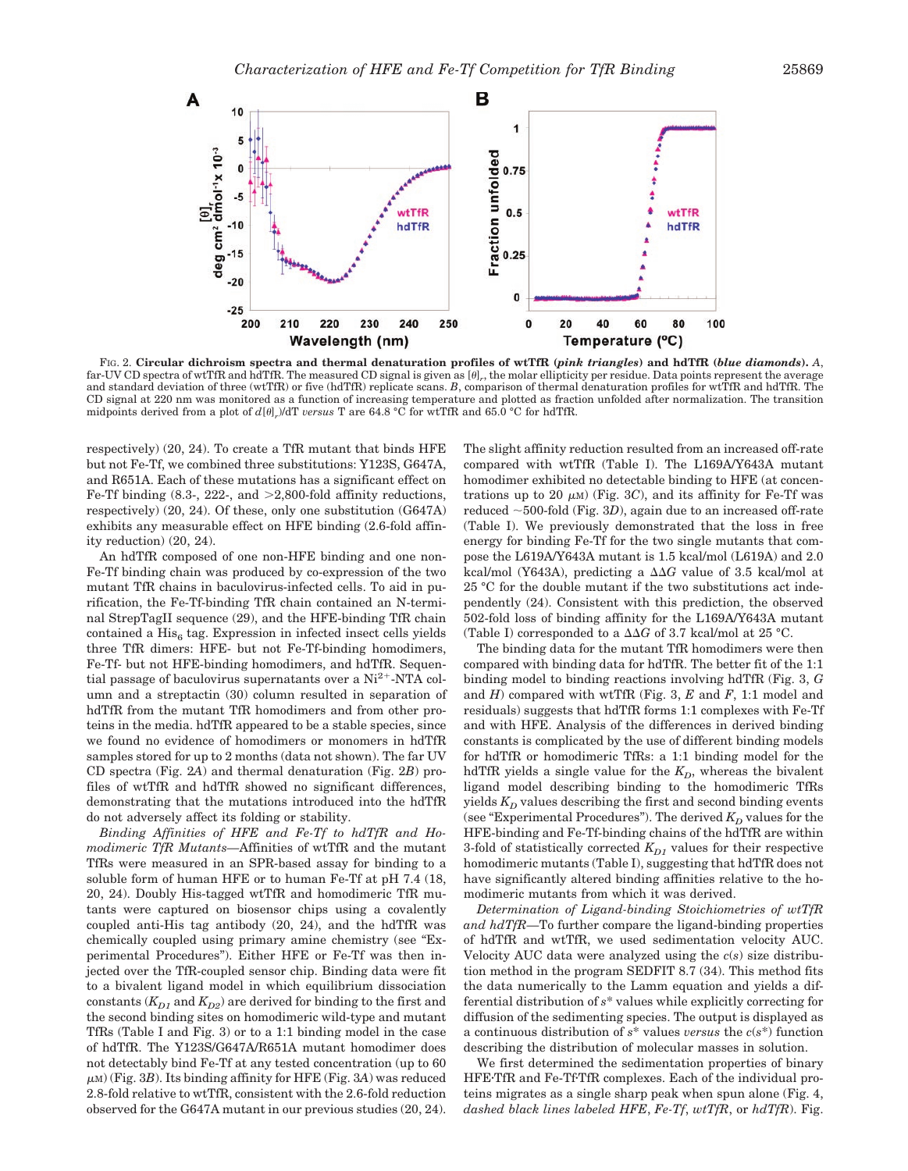

FIG. 2. **Circular dichroism spectra and thermal denaturation profiles of wtTfR (***pink triangles***) and hdTfR (***blue diamonds***).** *A*, far-UV CD spectra of wtTfR and hdTfR. The measured CD signal is given as  $[\theta]_r$ , the molar ellipticity per residue. Data points represent the average and standard deviation of three (wtTfR) or five (hdTfR) replicate scans. *B*, comparison of thermal denaturation profiles for wtTfR and hdTfR. The CD signal at 220 nm was monitored as a function of increasing temperature and plotted as fraction unfolded after normalization. The transition midpoints derived from a plot of  $d[\theta]$ *r*)/dT *versus* T are 64.8 °C for wtTfR and 65.0 °C for hdTfR.

respectively) (20, 24). To create a TfR mutant that binds HFE but not Fe-Tf, we combined three substitutions: Y123S, G647A, and R651A. Each of these mutations has a significant effect on Fe-Tf binding  $(8.3, 222,$  and  $>2,800$ -fold affinity reductions, respectively) (20, 24). Of these, only one substitution (G647A) exhibits any measurable effect on HFE binding (2.6-fold affinity reduction) (20, 24).

An hdTfR composed of one non-HFE binding and one non-Fe-Tf binding chain was produced by co-expression of the two mutant TfR chains in baculovirus-infected cells. To aid in purification, the Fe-Tf-binding TfR chain contained an N-terminal StrepTagII sequence (29), and the HFE-binding TfR chain contained a  $His<sub>6</sub>$  tag. Expression in infected insect cells yields three TfR dimers: HFE- but not Fe-Tf-binding homodimers, Fe-Tf- but not HFE-binding homodimers, and hdTfR. Sequential passage of baculovirus supernatants over a  $Ni<sup>2+</sup>$ -NTA column and a streptactin (30) column resulted in separation of hdTfR from the mutant TfR homodimers and from other proteins in the media. hdTfR appeared to be a stable species, since we found no evidence of homodimers or monomers in hdTfR samples stored for up to 2 months (data not shown). The far UV CD spectra (Fig. 2*A*) and thermal denaturation (Fig. 2*B*) profiles of wtTfR and hdTfR showed no significant differences, demonstrating that the mutations introduced into the hdTfR do not adversely affect its folding or stability.

*Binding Affinities of HFE and Fe-Tf to hdTfR and Homodimeric TfR Mutants—*Affinities of wtTfR and the mutant TfRs were measured in an SPR-based assay for binding to a soluble form of human HFE or to human Fe-Tf at pH 7.4 (18, 20, 24). Doubly His-tagged wtTfR and homodimeric TfR mutants were captured on biosensor chips using a covalently coupled anti-His tag antibody (20, 24), and the hdTfR was chemically coupled using primary amine chemistry (see "Experimental Procedures"). Either HFE or Fe-Tf was then injected over the TfR-coupled sensor chip. Binding data were fit to a bivalent ligand model in which equilibrium dissociation constants  $(K_{D1}$  and  $K_{D2}$ ) are derived for binding to the first and the second binding sites on homodimeric wild-type and mutant TfRs (Table I and Fig. 3) or to a 1:1 binding model in the case of hdTfR. The Y123S/G647A/R651A mutant homodimer does not detectably bind Fe-Tf at any tested concentration (up to 60  $\mu$ <sub>M</sub>) (Fig. 3*B*). Its binding affinity for HFE (Fig. 3*A*) was reduced 2.8-fold relative to wtTfR, consistent with the 2.6-fold reduction observed for the G647A mutant in our previous studies (20, 24).

The slight affinity reduction resulted from an increased off-rate compared with wtTfR (Table I). The L169A/Y643A mutant homodimer exhibited no detectable binding to HFE (at concentrations up to 20  $\mu$ <sub>M</sub>) (Fig. 3*C*), and its affinity for Fe-Tf was reduced  $\sim$ 500-fold (Fig. 3*D*), again due to an increased off-rate (Table I). We previously demonstrated that the loss in free energy for binding Fe-Tf for the two single mutants that compose the L619A/Y643A mutant is 1.5 kcal/mol (L619A) and 2.0 kcal/mol (Y643A), predicting a  $\Delta\Delta G$  value of 3.5 kcal/mol at 25 °C for the double mutant if the two substitutions act independently (24). Consistent with this prediction, the observed 502-fold loss of binding affinity for the L169A/Y643A mutant (Table I) corresponded to a  $\Delta\Delta G$  of 3.7 kcal/mol at 25 °C.

The binding data for the mutant TfR homodimers were then compared with binding data for hdTfR. The better fit of the 1:1 binding model to binding reactions involving hdTfR (Fig. 3, *G* and *H*) compared with wtTfR (Fig. 3, *E* and *F*, 1:1 model and residuals) suggests that hdTfR forms 1:1 complexes with Fe-Tf and with HFE. Analysis of the differences in derived binding constants is complicated by the use of different binding models for hdTfR or homodimeric TfRs: a 1:1 binding model for the hdTfR yields a single value for the  $K_D$ , whereas the bivalent ligand model describing binding to the homodimeric TfRs yields  $K_D$  values describing the first and second binding events (see "Experimental Procedures"). The derived  $K_D$  values for the HFE-binding and Fe-Tf-binding chains of the hdTfR are within 3-fold of statistically corrected  $K_{D1}$  values for their respective homodimeric mutants (Table I), suggesting that hdTfR does not have significantly altered binding affinities relative to the homodimeric mutants from which it was derived.

*Determination of Ligand-binding Stoichiometries of wtTfR and hdTfR—*To further compare the ligand-binding properties of hdTfR and wtTfR, we used sedimentation velocity AUC. Velocity AUC data were analyzed using the *c*(*s*) size distribution method in the program SEDFIT 8.7 (34). This method fits the data numerically to the Lamm equation and yields a differential distribution of *s*\* values while explicitly correcting for diffusion of the sedimenting species. The output is displayed as a continuous distribution of *s*\* values *versus* the *c*(*s*\*) function describing the distribution of molecular masses in solution.

We first determined the sedimentation properties of binary HFETfR and Fe-TfTfR complexes. Each of the individual proteins migrates as a single sharp peak when spun alone (Fig. 4, *dashed black lines labeled HFE*, *Fe-Tf*, *wtTfR*, or *hdTfR*). Fig.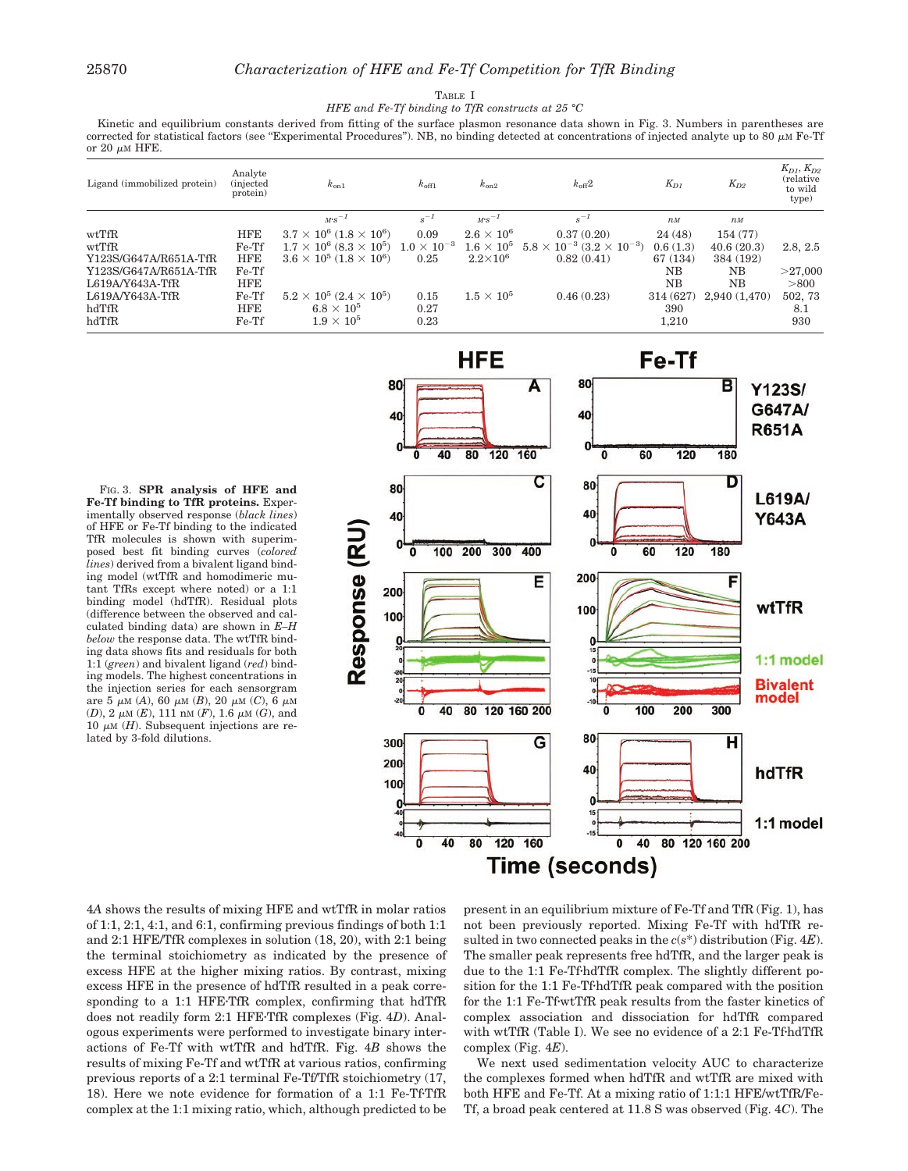#### TABLE I

*HFE and Fe-Tf binding to TfR constructs at 25 °C*

Kinetic and equilibrium constants derived from fitting of the surface plasmon resonance data shown in Fig. 3. Numbers in parentheses are corrected for statistical factors (see "Experimental Procedures"). NB, no binding detected at concentrations of injected analyte up to 80  $\mu$ M Fe-Tf or  $20 \mu M$  HFE.

| Ligand (immobilized protein) | Analyte<br><i>(injected)</i><br>protein) | $k_{on1}$                                         | $k_{\text{off1}}$    | $k_{on2}$         | $k_{\text{off}}2$                           | $K_{D1}$    | $K_{D2}$         | $K_{D1}, K_{D2}$<br>(relative<br>to wild<br>type) |
|------------------------------|------------------------------------------|---------------------------------------------------|----------------------|-------------------|---------------------------------------------|-------------|------------------|---------------------------------------------------|
|                              |                                          | $M\cdot s^{-1}$                                   | $s^{-1}$             | $M\cdot s^{-1}$   | $s^{-1}$                                    | $n_M$       | $n$ <sub>M</sub> |                                                   |
| wtTfR                        | <b>HFE</b>                               | $3.7 \times 10^6$ (1.8 $\times$ 10 <sup>6</sup> ) | 0.09                 | $2.6 \times 10^6$ | 0.37(0.20)                                  | 24(48)      | 154(77)          |                                                   |
| wtTfR                        | Fe-Tf                                    | $1.7 \times 10^6$ (8.3 $\times 10^5$ )            | $1.0 \times 10^{-3}$ | $1.6\times10^5$   | $5.8 \times 10^{-3}$ $(3.2 \times 10^{-3})$ | 0.6(1.3)    | 40.6(20.3)       | 2.8, 2.5                                          |
| Y123S/G647A/R651A-TfR        | <b>HFE</b>                               | $3.6 \times 10^5$ (1.8 $\times$ 10 <sup>6</sup> ) | 0.25                 | $2.2\times10^{6}$ | 0.82(0.41)                                  | 67 (134)    | 384 (192)        |                                                   |
| Y123S/G647A/R651A-TfR        | Fe-Tf                                    |                                                   |                      |                   |                                             | $_{\rm NB}$ | NB               | >27,000                                           |
| $L619A/Y643A-TfR$            | <b>HFE</b>                               |                                                   |                      |                   |                                             | NB          | NB               | > 800                                             |
| L619A/Y643A-TfR              | Fe-Tf                                    | $5.2 \times 10^5$ (2.4 $\times 10^5$ )            | 0.15                 | $1.5\times10^5$   | 0.46(0.23)                                  | 314 (627)   | 2.940(1.470)     | 502, 73                                           |
| hdTfR                        | <b>HFE</b>                               | $6.8\times10^5$                                   | 0.27                 |                   |                                             | 390         |                  | 8.1                                               |
| hdTfR                        | Fe-Tf                                    | $1.9\times10^5$                                   | 0.23                 |                   |                                             | 1,210       |                  | 930                                               |

FIG. 3. **SPR analysis of HFE and Fe-Tf binding to TfR proteins.** Experimentally observed response (*black lines*) of HFE or Fe-Tf binding to the indicated TfR molecules is shown with superimposed best fit binding curves (*colored lines*) derived from a bivalent ligand binding model (wtTfR and homodimeric mutant TfRs except where noted) or a 1:1 binding model (hdTfR). Residual plots (difference between the observed and calculated binding data) are shown in *E–H below* the response data. The wtTfR binding data shows fits and residuals for both 1:1 (*green*) and bivalent ligand (*red*) binding models. The highest concentrations in the injection series for each sensorgram are 5  $\mu{\rm M}$  (A), 60  $\mu{\rm M}$  (B), 20  $\mu{\rm M}$  (C), 6  $\mu{\rm M}$  $(D)$ ,  $2 \mu M$   $(E)$ ,  $111 \text{ nM}$   $(F)$ ,  $1.6 \mu M$   $(G)$ , and 10  $\mu$ M (*H*). Subsequent injections are related by 3-fold dilutions.



4*A* shows the results of mixing HFE and wtTfR in molar ratios of 1:1, 2:1, 4:1, and 6:1, confirming previous findings of both  $1:1$ and 2:1 HFE/TfR complexes in solution (18, 20), with 2:1 being the terminal stoichiometry as indicated by the presence of excess HFE at the higher mixing ratios. By contrast, mixing excess HFE in the presence of hdTfR resulted in a peak corresponding to a 1:1 HFE-TfR complex, confirming that hdTfR does not readily form 2:1 HFETfR complexes (Fig. 4*D*). Analogous experiments were performed to investigate binary interactions of Fe-Tf with wtTfR and hdTfR. Fig. 4*B* shows the results of mixing Fe-Tf and wtTfR at various ratios, confirming previous reports of a 2:1 terminal Fe-Tf/TfR stoichiometry (17, 18). Here we note evidence for formation of a 1:1 Fe-Tf-TfR complex at the 1:1 mixing ratio, which, although predicted to be

present in an equilibrium mixture of Fe-Tf and TfR (Fig. 1), has not been previously reported. Mixing Fe-Tf with hdTfR resulted in two connected peaks in the *c*(*s*\*) distribution (Fig. 4*E*). The smaller peak represents free hdTfR, and the larger peak is due to the 1:1 Fe-TfhdTfR complex. The slightly different position for the 1:1 Fe-TfhdTfR peak compared with the position for the 1:1 Fe-TfwtTfR peak results from the faster kinetics of complex association and dissociation for hdTfR compared with wtTfR (Table I). We see no evidence of a 2:1 Fe-TfhdTfR complex (Fig. 4*E*).

We next used sedimentation velocity AUC to characterize the complexes formed when hdTfR and wtTfR are mixed with both HFE and Fe-Tf. At a mixing ratio of 1:1:1 HFE/wtTfR/Fe-Tf, a broad peak centered at 11.8 S was observed (Fig. 4*C*). The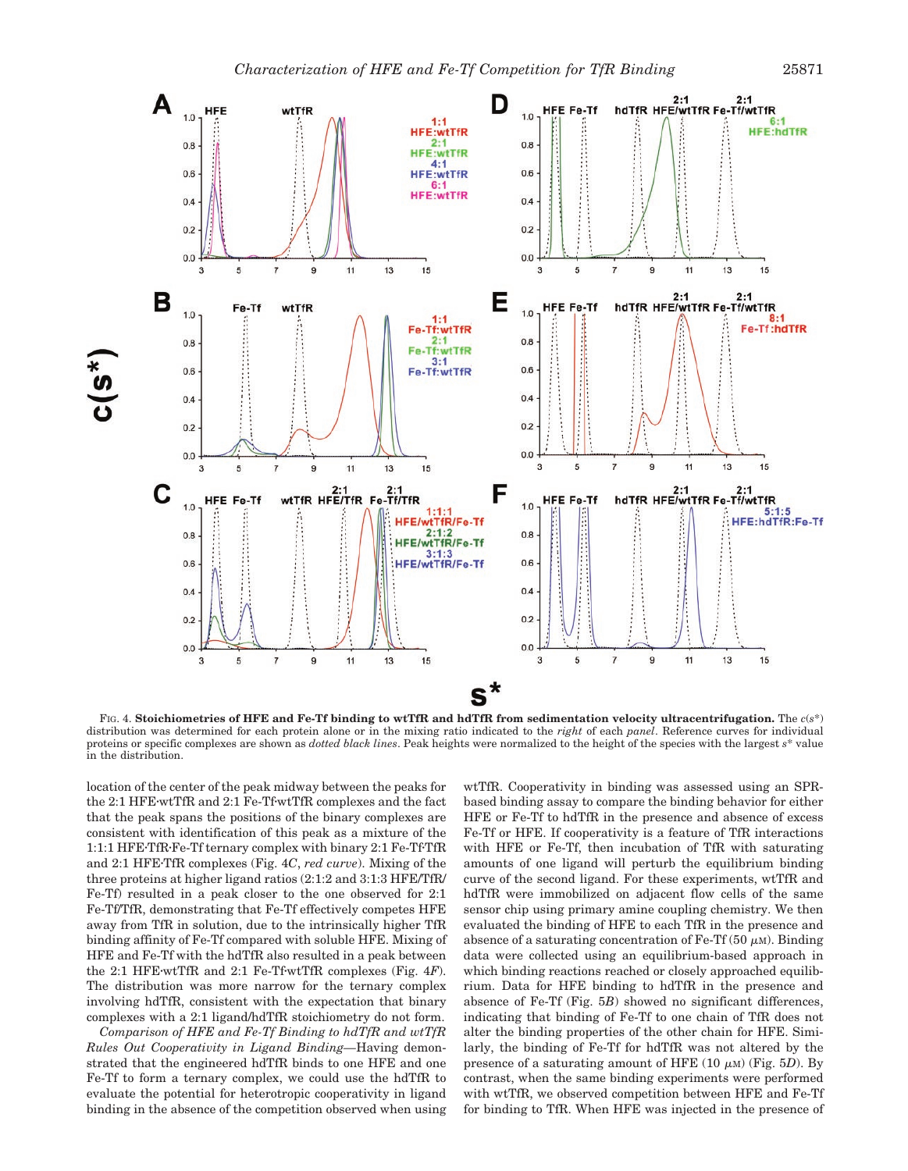

FIG. 4. **Stoichiometries of HFE and Fe-Tf binding to wtTfR and hdTfR from sedimentation velocity ultracentrifugation.** The *c*(*s*\*) distribution was determined for each protein alone or in the mixing ratio indicated to the *right* of each *panel*. Reference curves for individual proteins or specific complexes are shown as *dotted black lines*. Peak heights were normalized to the height of the species with the largest *s*\* value in the distribution.

location of the center of the peak midway between the peaks for the 2:1 HFEwtTfR and 2:1 Fe-TfwtTfR complexes and the fact that the peak spans the positions of the binary complexes are consistent with identification of this peak as a mixture of the 1:1:1 HFETfRFe-Tf ternary complex with binary 2:1 Fe-TfTfR and 2:1 HFETfR complexes (Fig. 4*C*, *red curve*). Mixing of the three proteins at higher ligand ratios (2:1:2 and 3:1:3 HFE/TfR/ Fe-Tf) resulted in a peak closer to the one observed for 2:1 Fe-Tf/TfR, demonstrating that Fe-Tf effectively competes HFE away from TfR in solution, due to the intrinsically higher TfR binding affinity of Fe-Tf compared with soluble HFE. Mixing of HFE and Fe-Tf with the hdTfR also resulted in a peak between the 2:1 HFEwtTfR and 2:1 Fe-TfwtTfR complexes (Fig. 4*F*). The distribution was more narrow for the ternary complex involving hdTfR, consistent with the expectation that binary complexes with a 2:1 ligand/hdTfR stoichiometry do not form.

*Comparison of HFE and Fe-Tf Binding to hdTfR and wtTfR Rules Out Cooperativity in Ligand Binding—*Having demonstrated that the engineered hdTfR binds to one HFE and one Fe-Tf to form a ternary complex, we could use the hdTfR to evaluate the potential for heterotropic cooperativity in ligand binding in the absence of the competition observed when using wtTfR. Cooperativity in binding was assessed using an SPRbased binding assay to compare the binding behavior for either HFE or Fe-Tf to hdTfR in the presence and absence of excess Fe-Tf or HFE. If cooperativity is a feature of TfR interactions with HFE or Fe-Tf, then incubation of TfR with saturating amounts of one ligand will perturb the equilibrium binding curve of the second ligand. For these experiments, wtTfR and hdTfR were immobilized on adjacent flow cells of the same sensor chip using primary amine coupling chemistry. We then evaluated the binding of HFE to each TfR in the presence and absence of a saturating concentration of Fe-Tf (50  $\mu$ M). Binding data were collected using an equilibrium-based approach in which binding reactions reached or closely approached equilibrium. Data for HFE binding to hdTfR in the presence and absence of Fe-Tf (Fig. 5*B*) showed no significant differences, indicating that binding of Fe-Tf to one chain of TfR does not alter the binding properties of the other chain for HFE. Similarly, the binding of Fe-Tf for hdTfR was not altered by the presence of a saturating amount of HFE  $(10 \mu M)$  (Fig. 5*D*). By contrast, when the same binding experiments were performed with wtTfR, we observed competition between HFE and Fe-Tf for binding to TfR. When HFE was injected in the presence of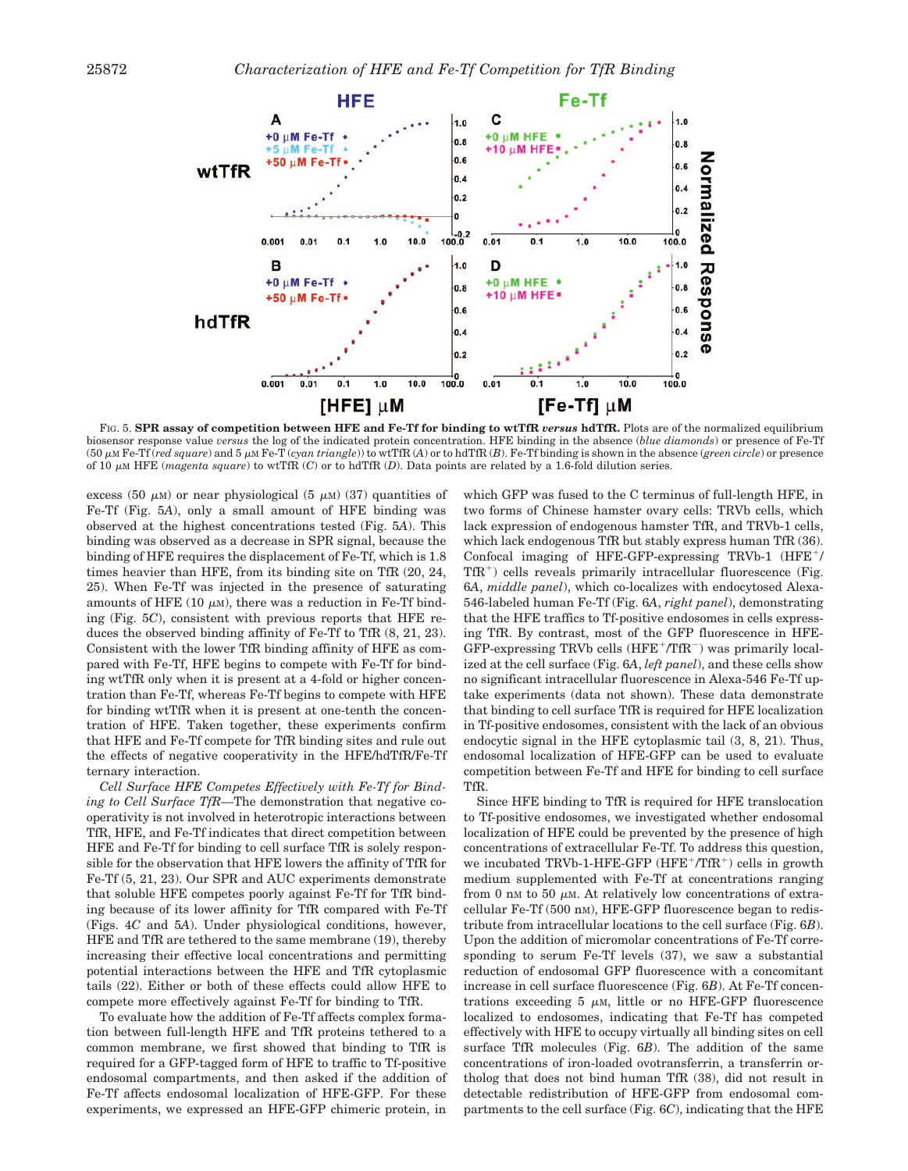

FIG. 5. **SPR assay of competition between HFE and Fe-Tf for binding to wtTfR** *versus* **hdTfR.** Plots are of the normalized equilibrium biosensor response value *versus* the log of the indicated protein concentration. HFE binding in the absence (*blue diamonds*) or presence of Fe-Tf (50  $\mu$ M Fe-Tf (*red square*) and 5  $\mu$ M Fe-T (*cyan triangle*)) to wtTfR (*A*) or to hdTfR (*B*). Fe-Tf binding is shown in the absence (*green circle*) or presence of 10 M HFE (*magenta square*) to wtTfR (*C*) or to hdTfR (*D*). Data points are related by a 1.6-fold dilution series.

excess (50  $\mu$ M) or near physiological (5  $\mu$ M) (37) quantities of Fe-Tf (Fig. 5*A*), only a small amount of HFE binding was observed at the highest concentrations tested (Fig. 5*A*). This binding was observed as a decrease in SPR signal, because the binding of HFE requires the displacement of Fe-Tf, which is 1.8 times heavier than HFE, from its binding site on TfR (20, 24, 25). When Fe-Tf was injected in the presence of saturating amounts of HFE (10  $\mu$ M), there was a reduction in Fe-Tf binding (Fig. 5*C*), consistent with previous reports that HFE reduces the observed binding affinity of Fe-Tf to TfR (8, 21, 23). Consistent with the lower TfR binding affinity of HFE as compared with Fe-Tf, HFE begins to compete with Fe-Tf for binding wtTfR only when it is present at a 4-fold or higher concentration than Fe-Tf, whereas Fe-Tf begins to compete with HFE for binding wtTfR when it is present at one-tenth the concentration of HFE. Taken together, these experiments confirm that HFE and Fe-Tf compete for TfR binding sites and rule out the effects of negative cooperativity in the HFE/hdTfR/Fe-Tf ternary interaction.

*Cell Surface HFE Competes Effectively with Fe-Tf for Binding to Cell Surface TfR—*The demonstration that negative cooperativity is not involved in heterotropic interactions between TfR, HFE, and Fe-Tf indicates that direct competition between HFE and Fe-Tf for binding to cell surface TfR is solely responsible for the observation that HFE lowers the affinity of TfR for Fe-Tf (5, 21, 23). Our SPR and AUC experiments demonstrate that soluble HFE competes poorly against Fe-Tf for TfR binding because of its lower affinity for TfR compared with Fe-Tf (Figs. 4*C* and 5*A*). Under physiological conditions, however, HFE and TfR are tethered to the same membrane (19), thereby increasing their effective local concentrations and permitting potential interactions between the HFE and TfR cytoplasmic tails (22). Either or both of these effects could allow HFE to compete more effectively against Fe-Tf for binding to TfR.

To evaluate how the addition of Fe-Tf affects complex formation between full-length HFE and TfR proteins tethered to a common membrane, we first showed that binding to TfR is required for a GFP-tagged form of HFE to traffic to Tf-positive endosomal compartments, and then asked if the addition of Fe-Tf affects endosomal localization of HFE-GFP. For these experiments, we expressed an HFE-GFP chimeric protein, in

which GFP was fused to the C terminus of full-length HFE, in two forms of Chinese hamster ovary cells: TRVb cells, which lack expression of endogenous hamster TfR, and TRVb-1 cells, which lack endogenous TfR but stably express human TfR (36). Confocal imaging of HFE-GFP-expressing TRVb-1 (HFE+/  $TfR<sup>+</sup>$ ) cells reveals primarily intracellular fluorescence (Fig. 6*A*, *middle panel*), which co-localizes with endocytosed Alexa-546-labeled human Fe-Tf (Fig. 6*A*, *right panel*), demonstrating that the HFE traffics to Tf-positive endosomes in cells expressing TfR. By contrast, most of the GFP fluorescence in HFE-GFP-expressing TRVb cells (HFE+/TfR-) was primarily localized at the cell surface (Fig. 6*A*, *left panel*), and these cells show no significant intracellular fluorescence in Alexa-546 Fe-Tf uptake experiments (data not shown). These data demonstrate that binding to cell surface TfR is required for HFE localization in Tf-positive endosomes, consistent with the lack of an obvious endocytic signal in the HFE cytoplasmic tail (3, 8, 21). Thus, endosomal localization of HFE-GFP can be used to evaluate competition between Fe-Tf and HFE for binding to cell surface TfR.

Since HFE binding to TfR is required for HFE translocation to Tf-positive endosomes, we investigated whether endosomal localization of HFE could be prevented by the presence of high concentrations of extracellular Fe-Tf. To address this question, we incubated TRVb-1-HFE-GFP  $(HFE^+/TfR^+)$  cells in growth medium supplemented with Fe-Tf at concentrations ranging from 0 nm to 50  $\mu$ m. At relatively low concentrations of extracellular Fe-Tf (500 nM), HFE-GFP fluorescence began to redistribute from intracellular locations to the cell surface (Fig. 6*B*). Upon the addition of micromolar concentrations of Fe-Tf corresponding to serum Fe-Tf levels (37), we saw a substantial reduction of endosomal GFP fluorescence with a concomitant increase in cell surface fluorescence (Fig. 6*B*). At Fe-Tf concentrations exceeding 5  $\mu$ M, little or no HFE-GFP fluorescence localized to endosomes, indicating that Fe-Tf has competed effectively with HFE to occupy virtually all binding sites on cell surface TfR molecules (Fig. 6*B*). The addition of the same concentrations of iron-loaded ovotransferrin, a transferrin ortholog that does not bind human TfR (38), did not result in detectable redistribution of HFE-GFP from endosomal compartments to the cell surface (Fig. 6*C*), indicating that the HFE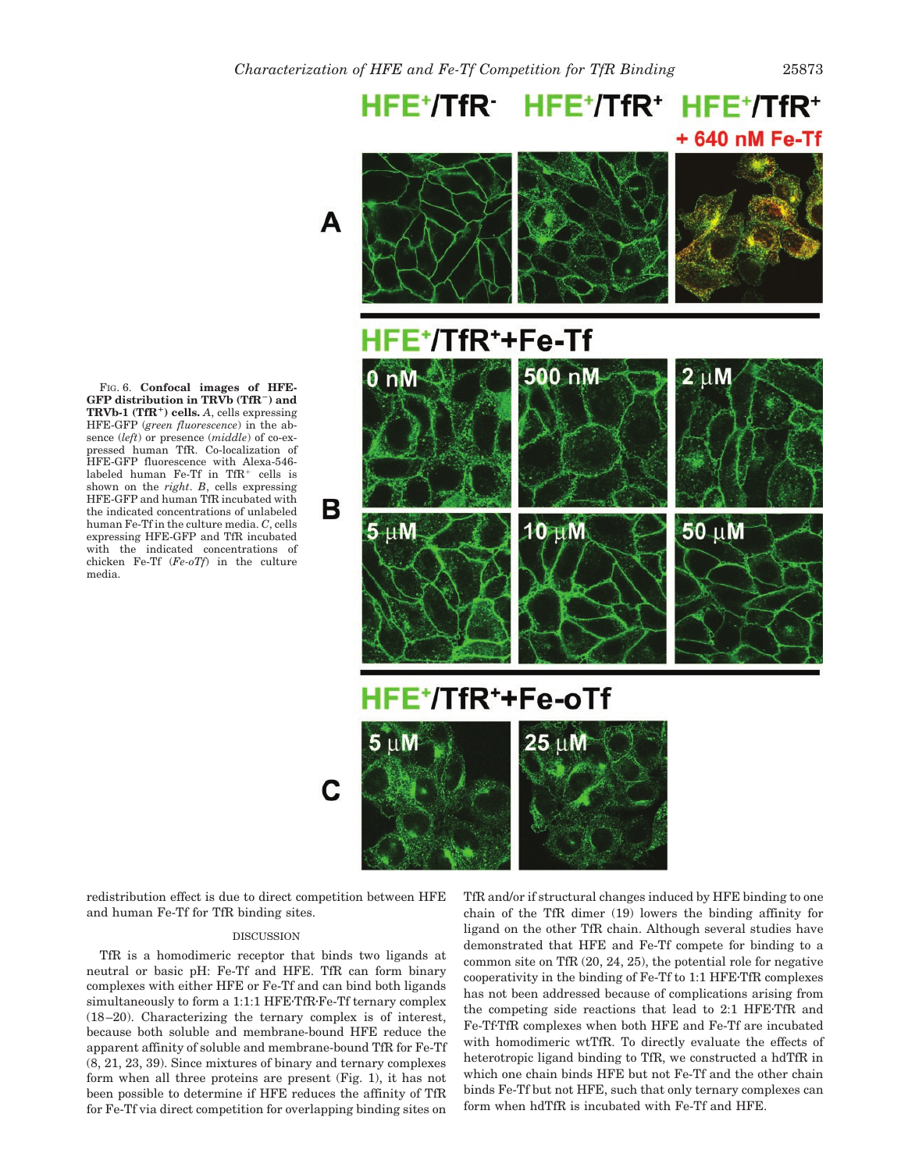HFE+/TfR HFE+/TfR+ HFE+/TfR+ +640 nM Fe-Tf



FIG. 6. **Confocal images of HFE-GFP distribution in TRVb (TfR) and TRVb-1 (TfR**-**) cells.** *A*, cells expressing HFE-GFP (*green fluorescence*) in the absence (*left*) or presence (*middle*) of co-expressed human TfR. Co-localization of HFE-GFP fluorescence with Alexa-546 labeled human Fe-Tf in TfR $^+$  cells is shown on the *right*. *B*, cells expressing HFE-GFP and human TfR incubated with the indicated concentrations of unlabeled human Fe-Tf in the culture media. *C*, cells expressing HFE-GFP and TfR incubated with the indicated concentrations of chicken Fe-Tf (*Fe-oTf*) in the culture media.

redistribution effect is due to direct competition between HFE and human Fe-Tf for TfR binding sites.

## DISCUSSION

TfR is a homodimeric receptor that binds two ligands at neutral or basic pH: Fe-Tf and HFE. TfR can form binary complexes with either HFE or Fe-Tf and can bind both ligands simultaneously to form a 1:1:1 HFE-TfR-Fe-Tf ternary complex (18–20). Characterizing the ternary complex is of interest, because both soluble and membrane-bound HFE reduce the apparent affinity of soluble and membrane-bound TfR for Fe-Tf (8, 21, 23, 39). Since mixtures of binary and ternary complexes form when all three proteins are present (Fig. 1), it has not been possible to determine if HFE reduces the affinity of TfR for Fe-Tf via direct competition for overlapping binding sites on

TfR and/or if structural changes induced by HFE binding to one chain of the TfR dimer (19) lowers the binding affinity for ligand on the other TfR chain. Although several studies have demonstrated that HFE and Fe-Tf compete for binding to a common site on TfR (20, 24, 25), the potential role for negative cooperativity in the binding of Fe-Tf to 1:1 HFETfR complexes has not been addressed because of complications arising from the competing side reactions that lead to 2:1 HFETfR and Fe-Tf·TfR complexes when both HFE and Fe-Tf are incubated with homodimeric wtTfR. To directly evaluate the effects of heterotropic ligand binding to TfR, we constructed a hdTfR in which one chain binds HFE but not Fe-Tf and the other chain binds Fe-Tf but not HFE, such that only ternary complexes can form when hdTfR is incubated with Fe-Tf and HFE.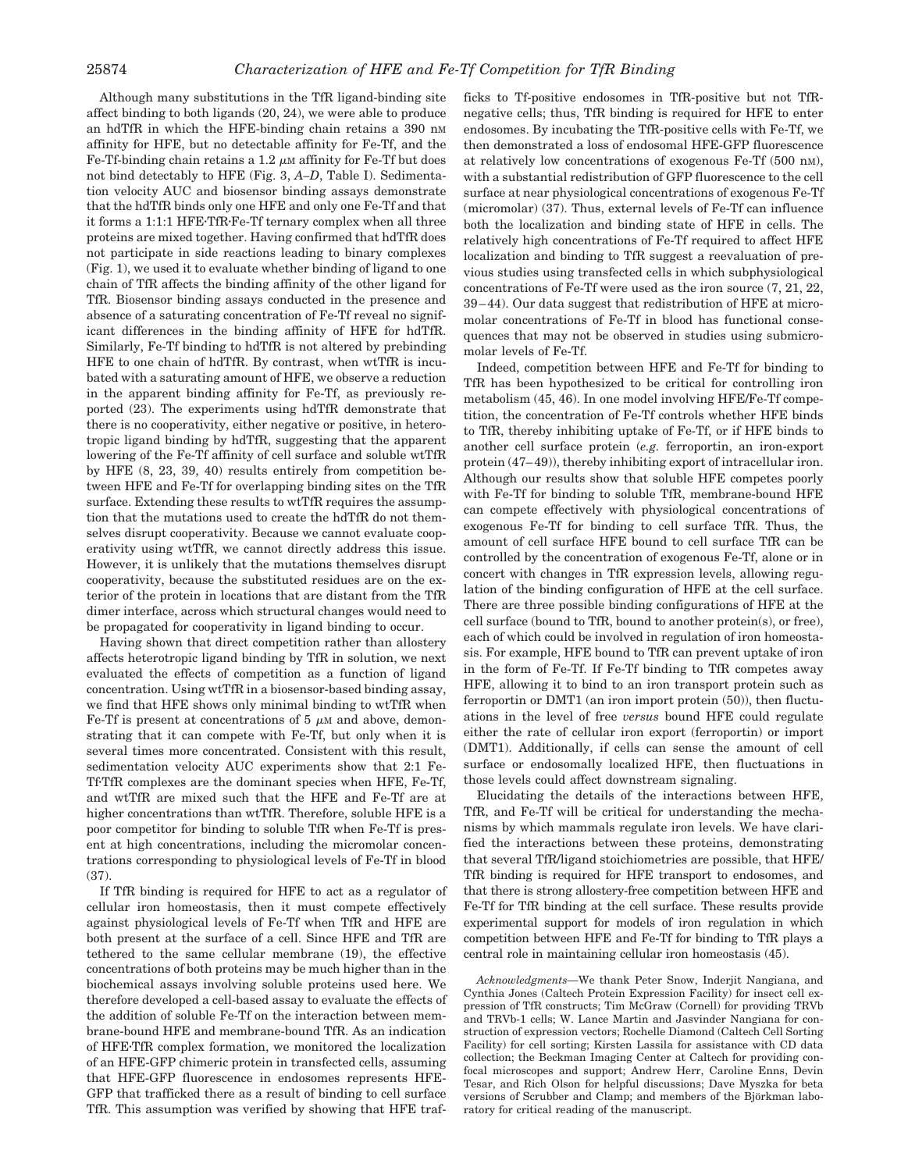Although many substitutions in the TfR ligand-binding site affect binding to both ligands (20, 24), we were able to produce an hdTfR in which the HFE-binding chain retains a 390 nm affinity for HFE, but no detectable affinity for Fe-Tf, and the Fe-Tf-binding chain retains a 1.2  $\mu$ M affinity for Fe-Tf but does not bind detectably to HFE (Fig. 3, *A–D*, Table I). Sedimentation velocity AUC and biosensor binding assays demonstrate that the hdTfR binds only one HFE and only one Fe-Tf and that it forms a 1:1:1 HFETfRFe-Tf ternary complex when all three proteins are mixed together. Having confirmed that hdTfR does not participate in side reactions leading to binary complexes (Fig. 1), we used it to evaluate whether binding of ligand to one chain of TfR affects the binding affinity of the other ligand for TfR. Biosensor binding assays conducted in the presence and absence of a saturating concentration of Fe-Tf reveal no significant differences in the binding affinity of HFE for hdTfR. Similarly, Fe-Tf binding to hdTfR is not altered by prebinding HFE to one chain of hdTfR. By contrast, when wtTfR is incubated with a saturating amount of HFE, we observe a reduction in the apparent binding affinity for Fe-Tf, as previously reported (23). The experiments using hdTfR demonstrate that there is no cooperativity, either negative or positive, in heterotropic ligand binding by hdTfR, suggesting that the apparent lowering of the Fe-Tf affinity of cell surface and soluble wtTfR by HFE (8, 23, 39, 40) results entirely from competition between HFE and Fe-Tf for overlapping binding sites on the TfR surface. Extending these results to wtTfR requires the assumption that the mutations used to create the hdTfR do not themselves disrupt cooperativity. Because we cannot evaluate cooperativity using wtTfR, we cannot directly address this issue. However, it is unlikely that the mutations themselves disrupt cooperativity, because the substituted residues are on the exterior of the protein in locations that are distant from the TfR dimer interface, across which structural changes would need to be propagated for cooperativity in ligand binding to occur.

Having shown that direct competition rather than allostery affects heterotropic ligand binding by TfR in solution, we next evaluated the effects of competition as a function of ligand concentration. Using wtTfR in a biosensor-based binding assay, we find that HFE shows only minimal binding to wtTfR when Fe-Tf is present at concentrations of 5  $\mu$ M and above, demonstrating that it can compete with Fe-Tf, but only when it is several times more concentrated. Consistent with this result, sedimentation velocity AUC experiments show that 2:1 Fe-TfTfR complexes are the dominant species when HFE, Fe-Tf, and wtTfR are mixed such that the HFE and Fe-Tf are at higher concentrations than wtTfR. Therefore, soluble HFE is a poor competitor for binding to soluble TfR when Fe-Tf is present at high concentrations, including the micromolar concentrations corresponding to physiological levels of Fe-Tf in blood (37).

If TfR binding is required for HFE to act as a regulator of cellular iron homeostasis, then it must compete effectively against physiological levels of Fe-Tf when TfR and HFE are both present at the surface of a cell. Since HFE and TfR are tethered to the same cellular membrane (19), the effective concentrations of both proteins may be much higher than in the biochemical assays involving soluble proteins used here. We therefore developed a cell-based assay to evaluate the effects of the addition of soluble Fe-Tf on the interaction between membrane-bound HFE and membrane-bound TfR. As an indication of HFETfR complex formation, we monitored the localization of an HFE-GFP chimeric protein in transfected cells, assuming that HFE-GFP fluorescence in endosomes represents HFE-GFP that trafficked there as a result of binding to cell surface TfR. This assumption was verified by showing that HFE trafficks to Tf-positive endosomes in TfR-positive but not TfRnegative cells; thus, TfR binding is required for HFE to enter endosomes. By incubating the TfR-positive cells with Fe-Tf, we then demonstrated a loss of endosomal HFE-GFP fluorescence at relatively low concentrations of exogenous Fe-Tf (500 nM), with a substantial redistribution of GFP fluorescence to the cell surface at near physiological concentrations of exogenous Fe-Tf (micromolar) (37). Thus, external levels of Fe-Tf can influence both the localization and binding state of HFE in cells. The relatively high concentrations of Fe-Tf required to affect HFE localization and binding to TfR suggest a reevaluation of previous studies using transfected cells in which subphysiological concentrations of Fe-Tf were used as the iron source (7, 21, 22, 39–44). Our data suggest that redistribution of HFE at micromolar concentrations of Fe-Tf in blood has functional consequences that may not be observed in studies using submicromolar levels of Fe-Tf.

Indeed, competition between HFE and Fe-Tf for binding to TfR has been hypothesized to be critical for controlling iron metabolism (45, 46). In one model involving HFE/Fe-Tf competition, the concentration of Fe-Tf controls whether HFE binds to TfR, thereby inhibiting uptake of Fe-Tf, or if HFE binds to another cell surface protein (*e.g.* ferroportin, an iron-export protein (47–49)), thereby inhibiting export of intracellular iron. Although our results show that soluble HFE competes poorly with Fe-Tf for binding to soluble TfR, membrane-bound HFE can compete effectively with physiological concentrations of exogenous Fe-Tf for binding to cell surface TfR. Thus, the amount of cell surface HFE bound to cell surface TfR can be controlled by the concentration of exogenous Fe-Tf, alone or in concert with changes in TfR expression levels, allowing regulation of the binding configuration of HFE at the cell surface. There are three possible binding configurations of HFE at the cell surface (bound to TfR, bound to another protein(s), or free), each of which could be involved in regulation of iron homeostasis. For example, HFE bound to TfR can prevent uptake of iron in the form of Fe-Tf. If Fe-Tf binding to TfR competes away HFE, allowing it to bind to an iron transport protein such as ferroportin or DMT1 (an iron import protein (50)), then fluctuations in the level of free *versus* bound HFE could regulate either the rate of cellular iron export (ferroportin) or import (DMT1). Additionally, if cells can sense the amount of cell surface or endosomally localized HFE, then fluctuations in those levels could affect downstream signaling.

Elucidating the details of the interactions between HFE, TfR, and Fe-Tf will be critical for understanding the mechanisms by which mammals regulate iron levels. We have clarified the interactions between these proteins, demonstrating that several TfR/ligand stoichiometries are possible, that HFE/ TfR binding is required for HFE transport to endosomes, and that there is strong allostery-free competition between HFE and Fe-Tf for TfR binding at the cell surface. These results provide experimental support for models of iron regulation in which competition between HFE and Fe-Tf for binding to TfR plays a central role in maintaining cellular iron homeostasis (45).

*Acknowledgments—*We thank Peter Snow, Inderjit Nangiana, and Cynthia Jones (Caltech Protein Expression Facility) for insect cell expression of TfR constructs; Tim McGraw (Cornell) for providing TRVb and TRVb-1 cells; W. Lance Martin and Jasvinder Nangiana for construction of expression vectors; Rochelle Diamond (Caltech Cell Sorting Facility) for cell sorting; Kirsten Lassila for assistance with CD data collection; the Beckman Imaging Center at Caltech for providing confocal microscopes and support; Andrew Herr, Caroline Enns, Devin Tesar, and Rich Olson for helpful discussions; Dave Myszka for beta versions of Scrubber and Clamp; and members of the Björkman laboratory for critical reading of the manuscript.